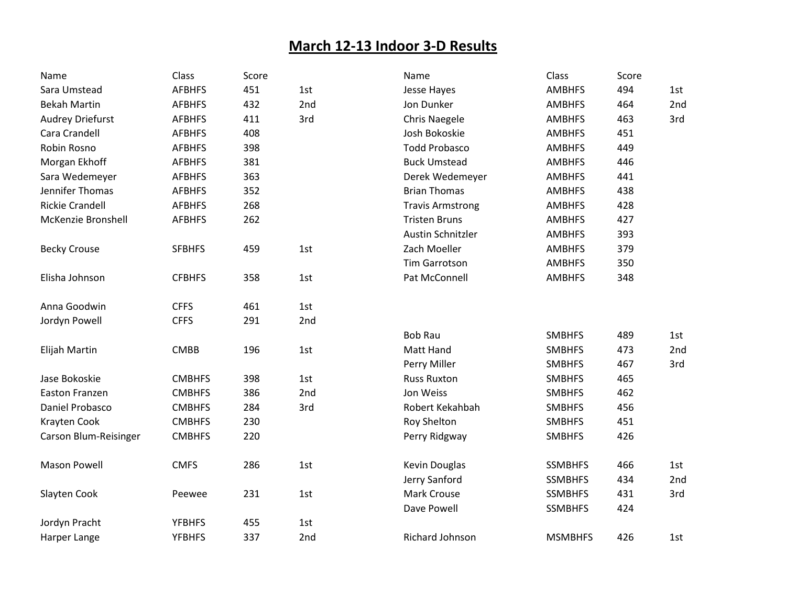## **March 12-13 Indoor 3-D Results**

| Name                   | Class         | Score |     | Name                    | Class          | Score |     |
|------------------------|---------------|-------|-----|-------------------------|----------------|-------|-----|
| Sara Umstead           | <b>AFBHFS</b> | 451   | 1st | Jesse Hayes             | <b>AMBHFS</b>  | 494   | 1st |
| <b>Bekah Martin</b>    | <b>AFBHFS</b> | 432   | 2nd | Jon Dunker              | <b>AMBHFS</b>  | 464   | 2nd |
| Audrey Driefurst       | <b>AFBHFS</b> | 411   | 3rd | <b>Chris Naegele</b>    | <b>AMBHFS</b>  | 463   | 3rd |
| Cara Crandell          | <b>AFBHFS</b> | 408   |     | Josh Bokoskie           | <b>AMBHFS</b>  | 451   |     |
| Robin Rosno            | <b>AFBHFS</b> | 398   |     | <b>Todd Probasco</b>    | <b>AMBHFS</b>  | 449   |     |
| Morgan Ekhoff          | <b>AFBHFS</b> | 381   |     | <b>Buck Umstead</b>     | <b>AMBHFS</b>  | 446   |     |
| Sara Wedemeyer         | <b>AFBHFS</b> | 363   |     | Derek Wedemeyer         | <b>AMBHFS</b>  | 441   |     |
| Jennifer Thomas        | <b>AFBHFS</b> | 352   |     | <b>Brian Thomas</b>     | <b>AMBHFS</b>  | 438   |     |
| <b>Rickie Crandell</b> | <b>AFBHFS</b> | 268   |     | <b>Travis Armstrong</b> | <b>AMBHFS</b>  | 428   |     |
| McKenzie Bronshell     | <b>AFBHFS</b> | 262   |     | <b>Tristen Bruns</b>    | <b>AMBHFS</b>  | 427   |     |
|                        |               |       |     | Austin Schnitzler       | <b>AMBHFS</b>  | 393   |     |
| <b>Becky Crouse</b>    | <b>SFBHFS</b> | 459   | 1st | Zach Moeller            | <b>AMBHFS</b>  | 379   |     |
|                        |               |       |     | <b>Tim Garrotson</b>    | <b>AMBHFS</b>  | 350   |     |
| Elisha Johnson         | <b>CFBHFS</b> | 358   | 1st | Pat McConnell           | <b>AMBHFS</b>  | 348   |     |
| Anna Goodwin           | <b>CFFS</b>   | 461   | 1st |                         |                |       |     |
| Jordyn Powell          | <b>CFFS</b>   | 291   | 2nd |                         |                |       |     |
|                        |               |       |     | <b>Bob Rau</b>          | <b>SMBHFS</b>  | 489   | 1st |
| Elijah Martin          | <b>CMBB</b>   | 196   | 1st | Matt Hand               | <b>SMBHFS</b>  | 473   | 2nd |
|                        |               |       |     | Perry Miller            | <b>SMBHFS</b>  | 467   | 3rd |
| Jase Bokoskie          | <b>CMBHFS</b> | 398   | 1st | <b>Russ Ruxton</b>      | <b>SMBHFS</b>  | 465   |     |
| Easton Franzen         | <b>CMBHFS</b> | 386   | 2nd | Jon Weiss               | <b>SMBHFS</b>  | 462   |     |
| Daniel Probasco        | <b>CMBHFS</b> | 284   | 3rd | Robert Kekahbah         | <b>SMBHFS</b>  | 456   |     |
| Krayten Cook           | <b>CMBHFS</b> | 230   |     | Roy Shelton             | <b>SMBHFS</b>  | 451   |     |
| Carson Blum-Reisinger  | <b>CMBHFS</b> | 220   |     | Perry Ridgway           | <b>SMBHFS</b>  | 426   |     |
| <b>Mason Powell</b>    | <b>CMFS</b>   | 286   | 1st | Kevin Douglas           | <b>SSMBHFS</b> | 466   | 1st |
|                        |               |       |     | Jerry Sanford           | <b>SSMBHFS</b> | 434   | 2nd |
| Slayten Cook           | Peewee        | 231   | 1st | <b>Mark Crouse</b>      | <b>SSMBHFS</b> | 431   | 3rd |
|                        |               |       |     | Dave Powell             | <b>SSMBHFS</b> | 424   |     |
| Jordyn Pracht          | <b>YFBHFS</b> | 455   | 1st |                         |                |       |     |
| Harper Lange           | <b>YFBHFS</b> | 337   | 2nd | Richard Johnson         | <b>MSMBHFS</b> | 426   | 1st |